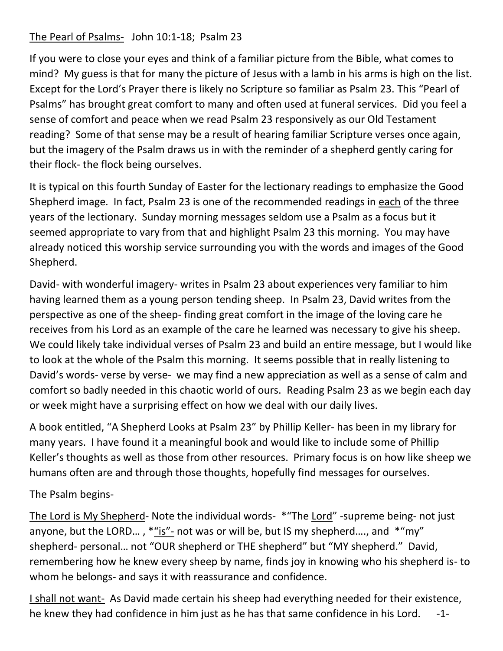## The Pearl of Psalms- John 10:1-18; Psalm 23

If you were to close your eyes and think of a familiar picture from the Bible, what comes to mind? My guess is that for many the picture of Jesus with a lamb in his arms is high on the list. Except for the Lord's Prayer there is likely no Scripture so familiar as Psalm 23. This "Pearl of Psalms" has brought great comfort to many and often used at funeral services. Did you feel a sense of comfort and peace when we read Psalm 23 responsively as our Old Testament reading? Some of that sense may be a result of hearing familiar Scripture verses once again, but the imagery of the Psalm draws us in with the reminder of a shepherd gently caring for their flock- the flock being ourselves.

It is typical on this fourth Sunday of Easter for the lectionary readings to emphasize the Good Shepherd image. In fact, Psalm 23 is one of the recommended readings in each of the three years of the lectionary. Sunday morning messages seldom use a Psalm as a focus but it seemed appropriate to vary from that and highlight Psalm 23 this morning. You may have already noticed this worship service surrounding you with the words and images of the Good Shepherd.

David- with wonderful imagery- writes in Psalm 23 about experiences very familiar to him having learned them as a young person tending sheep. In Psalm 23, David writes from the perspective as one of the sheep- finding great comfort in the image of the loving care he receives from his Lord as an example of the care he learned was necessary to give his sheep. We could likely take individual verses of Psalm 23 and build an entire message, but I would like to look at the whole of the Psalm this morning. It seems possible that in really listening to David's words- verse by verse- we may find a new appreciation as well as a sense of calm and comfort so badly needed in this chaotic world of ours. Reading Psalm 23 as we begin each day or week might have a surprising effect on how we deal with our daily lives.

A book entitled, "A Shepherd Looks at Psalm 23" by Phillip Keller- has been in my library for many years. I have found it a meaningful book and would like to include some of Phillip Keller's thoughts as well as those from other resources. Primary focus is on how like sheep we humans often are and through those thoughts, hopefully find messages for ourselves.

## The Psalm begins-

The Lord is My Shepherd- Note the individual words- \*"The Lord" -supreme being- not just anyone, but the LORD..., \*"is"- not was or will be, but IS my shepherd...., and \*"my" shepherd- personal… not "OUR shepherd or THE shepherd" but "MY shepherd." David, remembering how he knew every sheep by name, finds joy in knowing who his shepherd is- to whom he belongs- and says it with reassurance and confidence.

I shall not want- As David made certain his sheep had everything needed for their existence, he knew they had confidence in him just as he has that same confidence in his Lord. -1-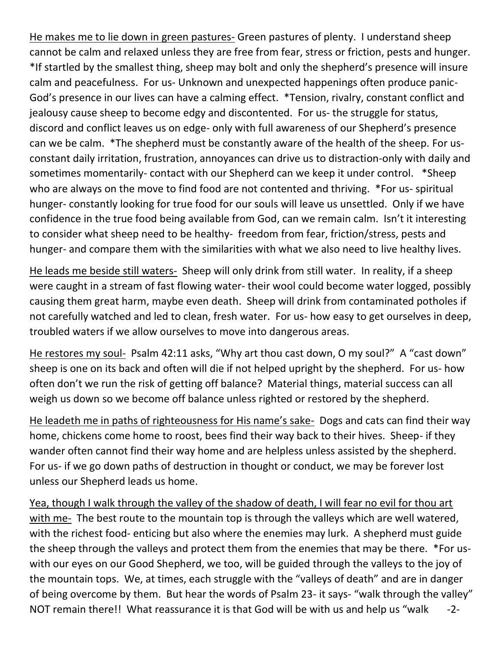He makes me to lie down in green pastures- Green pastures of plenty. I understand sheep cannot be calm and relaxed unless they are free from fear, stress or friction, pests and hunger. \*If startled by the smallest thing, sheep may bolt and only the shepherd's presence will insure calm and peacefulness. For us- Unknown and unexpected happenings often produce panic-God's presence in our lives can have a calming effect. \*Tension, rivalry, constant conflict and jealousy cause sheep to become edgy and discontented. For us- the struggle for status, discord and conflict leaves us on edge- only with full awareness of our Shepherd's presence can we be calm. \*The shepherd must be constantly aware of the health of the sheep. For usconstant daily irritation, frustration, annoyances can drive us to distraction-only with daily and sometimes momentarily- contact with our Shepherd can we keep it under control. \*Sheep who are always on the move to find food are not contented and thriving. \*For us- spiritual hunger- constantly looking for true food for our souls will leave us unsettled. Only if we have confidence in the true food being available from God, can we remain calm. Isn't it interesting to consider what sheep need to be healthy- freedom from fear, friction/stress, pests and hunger- and compare them with the similarities with what we also need to live healthy lives.

He leads me beside still waters- Sheep will only drink from still water. In reality, if a sheep were caught in a stream of fast flowing water- their wool could become water logged, possibly causing them great harm, maybe even death. Sheep will drink from contaminated potholes if not carefully watched and led to clean, fresh water. For us- how easy to get ourselves in deep, troubled waters if we allow ourselves to move into dangerous areas.

He restores my soul- Psalm 42:11 asks, "Why art thou cast down, O my soul?" A "cast down" sheep is one on its back and often will die if not helped upright by the shepherd. For us- how often don't we run the risk of getting off balance? Material things, material success can all weigh us down so we become off balance unless righted or restored by the shepherd.

He leadeth me in paths of righteousness for His name's sake- Dogs and cats can find their way home, chickens come home to roost, bees find their way back to their hives. Sheep- if they wander often cannot find their way home and are helpless unless assisted by the shepherd. For us- if we go down paths of destruction in thought or conduct, we may be forever lost unless our Shepherd leads us home.

Yea, though I walk through the valley of the shadow of death, I will fear no evil for thou art with me- The best route to the mountain top is through the valleys which are well watered, with the richest food- enticing but also where the enemies may lurk. A shepherd must guide the sheep through the valleys and protect them from the enemies that may be there. \*For uswith our eyes on our Good Shepherd, we too, will be guided through the valleys to the joy of the mountain tops. We, at times, each struggle with the "valleys of death" and are in danger of being overcome by them. But hear the words of Psalm 23- it says- "walk through the valley" NOT remain there!! What reassurance it is that God will be with us and help us "walk -2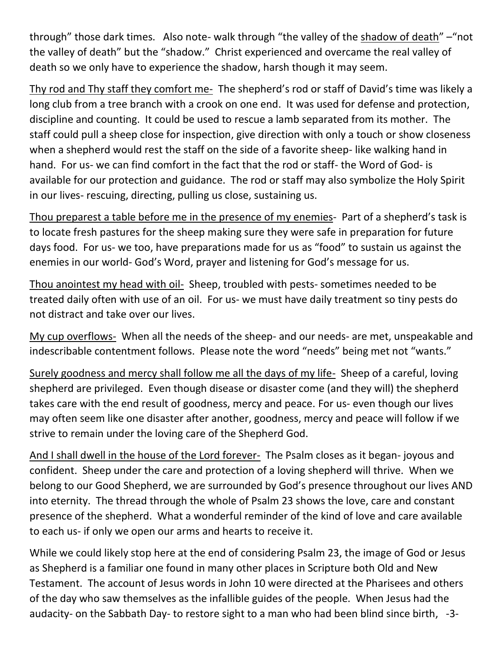through" those dark times. Also note- walk through "the valley of the shadow of death" –"not the valley of death" but the "shadow." Christ experienced and overcame the real valley of death so we only have to experience the shadow, harsh though it may seem.

Thy rod and Thy staff they comfort me- The shepherd's rod or staff of David's time was likely a long club from a tree branch with a crook on one end. It was used for defense and protection, discipline and counting. It could be used to rescue a lamb separated from its mother. The staff could pull a sheep close for inspection, give direction with only a touch or show closeness when a shepherd would rest the staff on the side of a favorite sheep- like walking hand in hand. For us- we can find comfort in the fact that the rod or staff- the Word of God- is available for our protection and guidance. The rod or staff may also symbolize the Holy Spirit in our lives- rescuing, directing, pulling us close, sustaining us.

Thou preparest a table before me in the presence of my enemies- Part of a shepherd's task is to locate fresh pastures for the sheep making sure they were safe in preparation for future days food. For us- we too, have preparations made for us as "food" to sustain us against the enemies in our world- God's Word, prayer and listening for God's message for us.

Thou anointest my head with oil- Sheep, troubled with pests- sometimes needed to be treated daily often with use of an oil. For us- we must have daily treatment so tiny pests do not distract and take over our lives.

My cup overflows- When all the needs of the sheep- and our needs- are met, unspeakable and indescribable contentment follows. Please note the word "needs" being met not "wants."

Surely goodness and mercy shall follow me all the days of my life- Sheep of a careful, loving shepherd are privileged. Even though disease or disaster come (and they will) the shepherd takes care with the end result of goodness, mercy and peace. For us- even though our lives may often seem like one disaster after another, goodness, mercy and peace will follow if we strive to remain under the loving care of the Shepherd God.

And I shall dwell in the house of the Lord forever- The Psalm closes as it began- joyous and confident. Sheep under the care and protection of a loving shepherd will thrive. When we belong to our Good Shepherd, we are surrounded by God's presence throughout our lives AND into eternity. The thread through the whole of Psalm 23 shows the love, care and constant presence of the shepherd. What a wonderful reminder of the kind of love and care available to each us- if only we open our arms and hearts to receive it.

While we could likely stop here at the end of considering Psalm 23, the image of God or Jesus as Shepherd is a familiar one found in many other places in Scripture both Old and New Testament. The account of Jesus words in John 10 were directed at the Pharisees and others of the day who saw themselves as the infallible guides of the people. When Jesus had the audacity- on the Sabbath Day- to restore sight to a man who had been blind since birth, -3